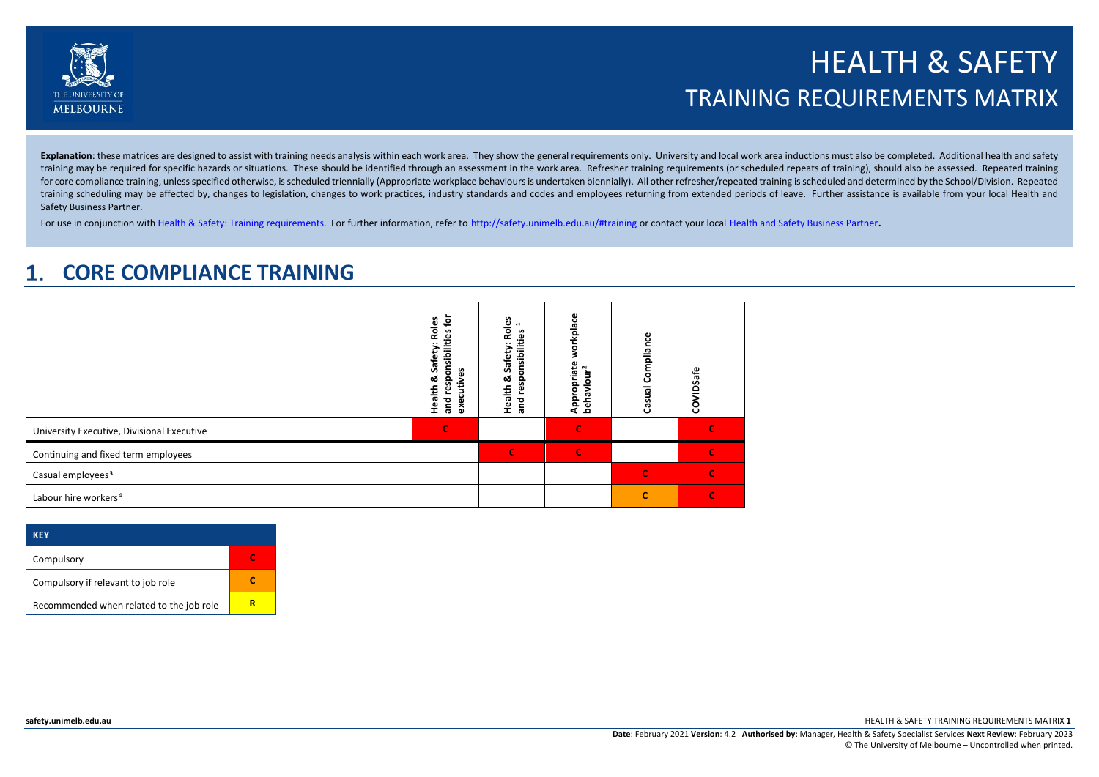

# HEALTH & SAFETY TRAINING REQUIREMENTS MATRIX

Explanation: these matrices are designed to assist with training needs analysis within each work area. They show the general requirements only. University and local work area inductions must also be completed. Additional h training may be required for specific hazards or situations. These should be identified through an assessment in the work area. Refresher training requirements (or scheduled repeats of training), should also be assessed. R for core compliance training, unless specified otherwise, is scheduled triennially (Appropriate workplace behaviours is undertaken biennially). All other refresher/repeated training is scheduled and determined by the Schoo training scheduling may be affected by, changes to legislation, changes to work practices, industry standards and codes and employees returning from extended periods of leave. Further assistance is available from your loca Safety Business Partner.

For use in conjunction wit[h Health & Safety: Training requirements.](http://safety.unimelb.edu.au/__data/assets/word_doc/0007/2077585/health-and-safety-training-requirements.docx) For further information, refer to <http://safety.unimelb.edu.au/#training> or contact your local [Health and Safety Business Partner.](http://safety.unimelb.edu.au/people/community)

#### **CORE COMPLIANCE TRAINING**  $\mathbf 1$

|                                            | Roles<br>호<br>ݠ<br>onsibilit<br>Safety<br>s<br>ω<br>ಹ<br>င္ဟ<br>š<br>Health<br>ၑ<br>ں<br>and<br>exe | Roles<br>ise:1<br>responsibilities<br>Safety:<br>Health &<br>ang<br>a | orkplace<br>Appropriate<br>our <sup>2</sup><br>behavio | Casual Compliance | COVIDSafe     |
|--------------------------------------------|-----------------------------------------------------------------------------------------------------|-----------------------------------------------------------------------|--------------------------------------------------------|-------------------|---------------|
| University Executive, Divisional Executive | Ċ                                                                                                   |                                                                       | e                                                      |                   |               |
| Continuing and fixed term employees        |                                                                                                     | C                                                                     | $\mathbf C$                                            |                   |               |
| Casual employees <sup>3</sup>              |                                                                                                     |                                                                       |                                                        | $\mathbf C$       | $\mathcal{C}$ |
| Labour hire workers <sup>4</sup>           |                                                                                                     |                                                                       |                                                        | c                 | $\epsilon$    |

| KFY                                      |  |
|------------------------------------------|--|
| Compulsory                               |  |
| Compulsory if relevant to job role       |  |
| Recommended when related to the job role |  |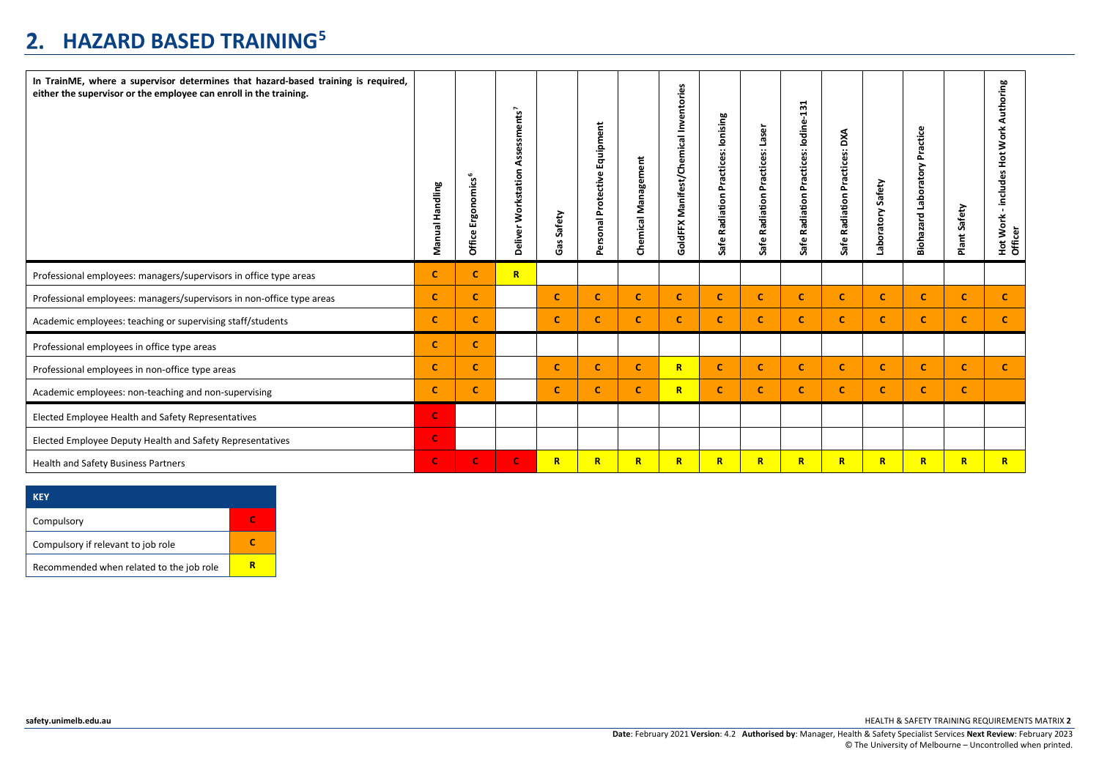# **HAZARD BASED TRAINING[5](#page-7-4)**

| In TrainME, where a supervisor determines that hazard-based training is required,<br>either the supervisor or the employee can enroll in the training. | Handling<br>Manual | <b>omics</b> <sup>6</sup><br>品<br>击<br>ω<br><b>Office</b> | Assessments <sup>7</sup><br>Deliver Workstation | Safety<br>Gas | Equipment<br>Personal Protective | Management<br>Chemical | Chemical Inventories<br>lanifest/<br>Σ<br>GoldFFX | Practices: Ionising<br>Radiation<br>Safe | Laser<br>Practices:<br>Radiation<br>Safe | 131<br>Practices: Iodine-<br>Safe Radiation | DXA<br>Practices:<br>Safe Radiation | Safety<br>Laboratory | actice<br>՟<br>pratory<br>흠<br>Biohazard | Safety<br>Plant: | Authoring<br>Work.<br>$\frac{5}{2}$<br>includes<br>Work<br>Hot Wo<br>Officer |
|--------------------------------------------------------------------------------------------------------------------------------------------------------|--------------------|-----------------------------------------------------------|-------------------------------------------------|---------------|----------------------------------|------------------------|---------------------------------------------------|------------------------------------------|------------------------------------------|---------------------------------------------|-------------------------------------|----------------------|------------------------------------------|------------------|------------------------------------------------------------------------------|
| Professional employees: managers/supervisors in office type areas                                                                                      | $\mathbf{C}$       | c                                                         | $\mathbb{R}$                                    |               |                                  |                        |                                                   |                                          |                                          |                                             |                                     |                      |                                          |                  |                                                                              |
| Professional employees: managers/supervisors in non-office type areas                                                                                  | $\mathbf{C}$       | <b>C</b>                                                  |                                                 | C             | C                                | c                      | C                                                 | <b>C</b>                                 | -C                                       | c                                           | C                                   | c                    | C.                                       | C.               | $\mathbf{C}$                                                                 |
| Academic employees: teaching or supervising staff/students                                                                                             | $\mathbf{C}$       | c.                                                        |                                                 | c             | $\mathbf c$                      | $\mathbf c$            | $\mathbf{C}$                                      | <b>C</b>                                 | c                                        | c                                           | c                                   | $\mathbf{C}$         | c.                                       | C.               | $\mathbf{C}$                                                                 |
| Professional employees in office type areas                                                                                                            | $\mathbf{C}$       | $\mathbf{C}$                                              |                                                 |               |                                  |                        |                                                   |                                          |                                          |                                             |                                     |                      |                                          |                  |                                                                              |
| Professional employees in non-office type areas                                                                                                        | $\mathbf{C}$       | C.                                                        |                                                 | C             | $\mathbf c$                      | c                      | $\mathbb{R}$                                      | <b>C</b>                                 | <b>C</b>                                 | <b>C</b>                                    | c                                   | C.                   | C.                                       | c                | c.                                                                           |
| Academic employees: non-teaching and non-supervising                                                                                                   | $\mathbf{C}$       | c.                                                        |                                                 | c             | $\mathbf c$                      | $\mathbf c$            | $\overline{\mathbf{R}}$                           | <b>C</b>                                 | c                                        | c.                                          | c                                   | $\mathbf{C}$         | $\mathbf{C}$                             | C                |                                                                              |
| Elected Employee Health and Safety Representatives                                                                                                     | $\mathbf C$        |                                                           |                                                 |               |                                  |                        |                                                   |                                          |                                          |                                             |                                     |                      |                                          |                  |                                                                              |
| Elected Employee Deputy Health and Safety Representatives                                                                                              | $\mathbf C$        |                                                           |                                                 |               |                                  |                        |                                                   |                                          |                                          |                                             |                                     |                      |                                          |                  |                                                                              |
| <b>Health and Safety Business Partners</b>                                                                                                             | $\mathbf C$        | $\mathbf C$                                               | $\mathbf C$                                     | $\mathbf R$   | $\mathbb{R}$                     | $\mathbb{R}$           | $\mathbb{R}$                                      | $\mathbb{R}$                             | $\mathbb{R}$                             | $\mathbb{R}$                                | R                                   | $\mathbf R$          | $\mathbb{R}$                             | $\mathbf R$      | $\mathbb{R}$                                                                 |

| <b>KEY</b>                               |  |
|------------------------------------------|--|
| Compulsory                               |  |
| Compulsory if relevant to job role       |  |
| Recommended when related to the job role |  |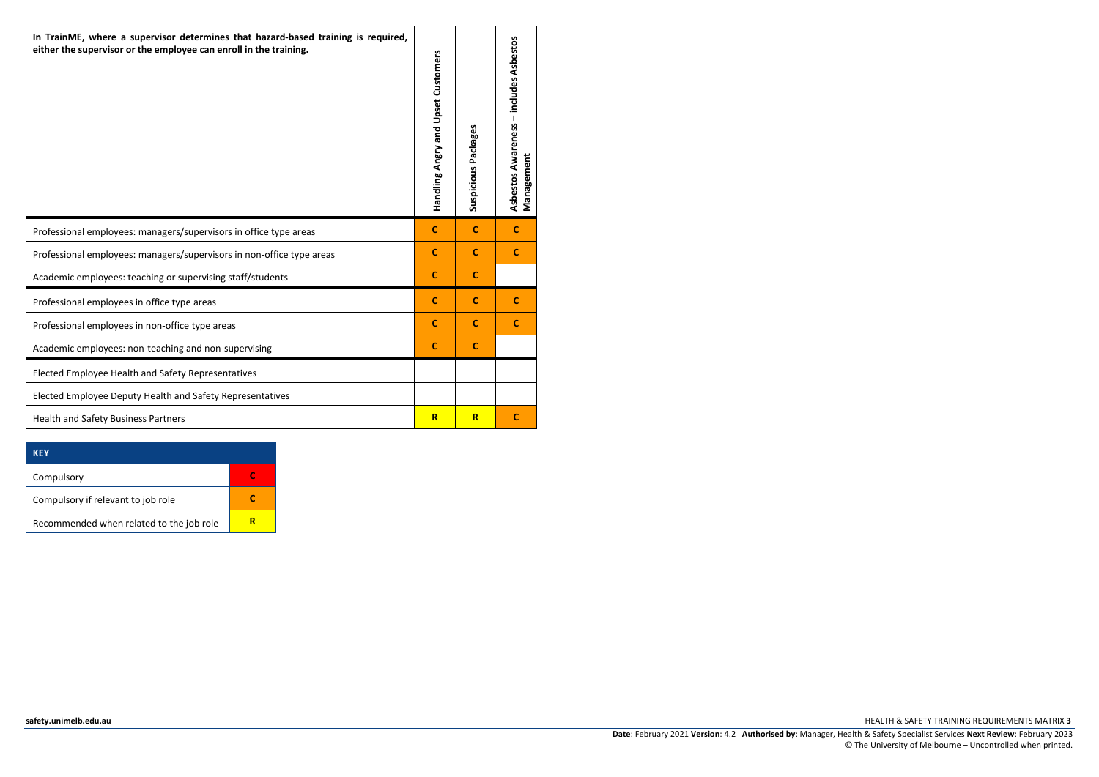| In TrainME, where a supervisor determines that hazard-based training is required,<br>either the supervisor or the employee can enroll in the training. | Handling Angry and Upset Customers | Suspicious Packages | Asbestos Awareness - includes Asbestos<br>Management |
|--------------------------------------------------------------------------------------------------------------------------------------------------------|------------------------------------|---------------------|------------------------------------------------------|
| Professional employees: managers/supervisors in office type areas                                                                                      | c                                  | $\mathbf{C}$        | $\mathbf{C}$                                         |
| Professional employees: managers/supervisors in non-office type areas                                                                                  | $\mathbf{C}$                       | $\mathbf{C}$        | $\mathbf{C}$                                         |
| Academic employees: teaching or supervising staff/students                                                                                             | c                                  | c                   |                                                      |
| Professional employees in office type areas                                                                                                            | $\mathbf C$                        | $\mathbf{C}$        | c                                                    |
| Professional employees in non-office type areas                                                                                                        | c                                  | c                   | c                                                    |
| Academic employees: non-teaching and non-supervising                                                                                                   | $\mathbf{C}$                       | c                   |                                                      |
| Elected Employee Health and Safety Representatives                                                                                                     |                                    |                     |                                                      |
| Elected Employee Deputy Health and Safety Representatives                                                                                              |                                    |                     |                                                      |
| <b>Health and Safety Business Partners</b>                                                                                                             | $\overline{\mathbf{R}}$            | $\overline{R}$      | C                                                    |

| <b>KEY</b>                               |  |
|------------------------------------------|--|
| Compulsory                               |  |
| Compulsory if relevant to job role       |  |
| Recommended when related to the job role |  |

**[safety.unimelb.edu.au](http://www.pb.unimelb.edu.au/ehs/)** HEALTH & SAFETY TRAINING REQUIREMENTS MATRIX **3**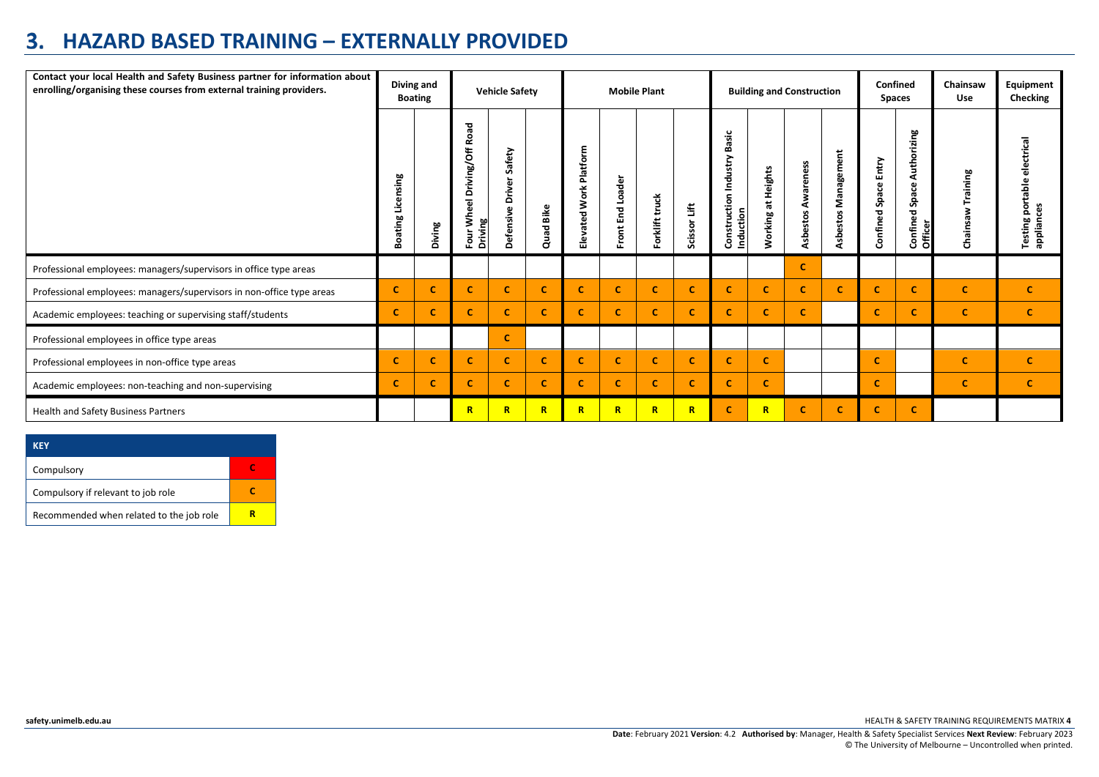### **HAZARD BASED TRAINING – EXTERNALLY PROVIDED**

| Contact your local Health and Safety Business partner for information about<br>enrolling/organising these courses from external training providers. | Diving and<br><b>Boating</b> |          | <b>Vehicle Safety</b>                                             |                                                      |           | <b>Mobile Plant</b>       |                        |                |              |                                                  | <b>Building and Construction</b>   |                       |                        |                            |                                               |                      | Confined<br><b>Spaces</b>                         | Chainsaw<br><b>Use</b> | Equipment<br>Checking |
|-----------------------------------------------------------------------------------------------------------------------------------------------------|------------------------------|----------|-------------------------------------------------------------------|------------------------------------------------------|-----------|---------------------------|------------------------|----------------|--------------|--------------------------------------------------|------------------------------------|-----------------------|------------------------|----------------------------|-----------------------------------------------|----------------------|---------------------------------------------------|------------------------|-----------------------|
|                                                                                                                                                     | Licensing<br><b>Boating</b>  | Diving   | Road<br>$\overline{5}$<br>Driving/<br>Wheel<br>ஜ<br>Four<br>Drivi | afety<br><b>S</b><br>Driver<br>$\omega$<br>Defensive | Quad Bike | Platform<br>Elevated Work | Loader<br>End<br>Front | Forklift truck | Scissor Lift | asic<br>قة<br>Construction Industry<br>Induction | eights<br>I<br>耑<br><b>Norking</b> | Awareness<br>Asbestos | Management<br>Asbestos | Entry<br>Space<br>Confined | Authorizing<br>Space.<br>Confined:<br>Officer | Training<br>Chainsaw | electrical<br>Testing portable<br>ces<br>appliano |                        |                       |
| Professional employees: managers/supervisors in office type areas                                                                                   |                              |          |                                                                   |                                                      |           |                           |                        |                |              |                                                  |                                    | c.                    |                        |                            |                                               |                      |                                                   |                        |                       |
| Professional employees: managers/supervisors in non-office type areas                                                                               | c                            | <b>C</b> |                                                                   | C                                                    | <b>C</b>  | C.                        | C                      | c              | c            | $\mathbf c$                                      | c.                                 | c                     | <b>C</b>               | c                          | c                                             | $\mathbf{C}$         | $\mathbf{C}$                                      |                        |                       |
| Academic employees: teaching or supervising staff/students                                                                                          | c                            | c.       | c                                                                 | C                                                    | c.        | С                         | C                      | c              | c            | $\mathbf c$                                      | c                                  | c                     |                        | c                          | C                                             | $\mathbf c$          | c.                                                |                        |                       |
| Professional employees in office type areas                                                                                                         |                              |          |                                                                   | $\mathbf c$                                          |           |                           |                        |                |              |                                                  |                                    |                       |                        |                            |                                               |                      |                                                   |                        |                       |
| Professional employees in non-office type areas                                                                                                     | <b>C</b>                     | c        | c                                                                 | c                                                    | <b>C</b>  | C.                        | C                      | c              | C            | <b>C</b>                                         | c.                                 |                       |                        | c                          |                                               | C                    | $\mathbf{C}$                                      |                        |                       |
| Academic employees: non-teaching and non-supervising                                                                                                | C                            | <b>C</b> | C.                                                                | C                                                    | <b>C</b>  | C.                        | C                      | C.             | C.           | <b>C</b>                                         | C                                  |                       |                        | c                          |                                               | $\mathbf c$          | C                                                 |                        |                       |
| Health and Safety Business Partners                                                                                                                 |                              |          | R                                                                 | $\mathbb{R}$                                         | R         | R                         | $\mathbf R$            | $\mathbb{R}$   | R            |                                                  | R                                  |                       |                        | c                          |                                               |                      |                                                   |                        |                       |

| <b>KFY</b>                               |  |
|------------------------------------------|--|
| Compulsory                               |  |
| Compulsory if relevant to job role       |  |
| Recommended when related to the job role |  |

**[safety.unimelb.edu.au](http://www.pb.unimelb.edu.au/ehs/)** HEALTH & SAFETY TRAINING REQUIREMENTS MATRIX **4**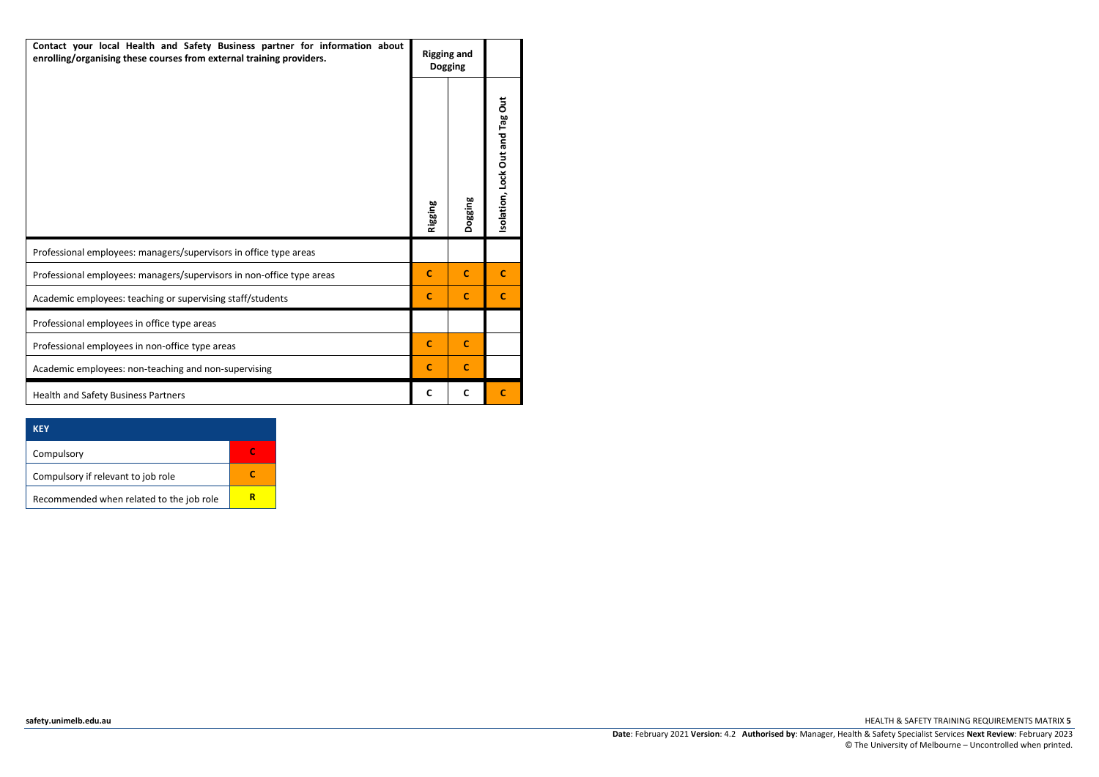| Contact your local Health and Safety Business partner for information about<br>enrolling/organising these courses from external training providers. | <b>Rigging and</b> | <b>Dogging</b> |                                |  |
|-----------------------------------------------------------------------------------------------------------------------------------------------------|--------------------|----------------|--------------------------------|--|
|                                                                                                                                                     | <b>Rigging</b>     | <b>Pogging</b> | solation, Lock Out and Tag Out |  |
| Professional employees: managers/supervisors in office type areas                                                                                   |                    |                |                                |  |
| Professional employees: managers/supervisors in non-office type areas                                                                               | $\mathbf{C}$       | $\mathbf{C}$   | c                              |  |
| Academic employees: teaching or supervising staff/students                                                                                          | $\mathbf{C}$       | $\mathbf{C}$   | C                              |  |
| Professional employees in office type areas                                                                                                         |                    |                |                                |  |
| Professional employees in non-office type areas                                                                                                     | C                  | c              |                                |  |
| Academic employees: non-teaching and non-supervising                                                                                                | $\mathbf c$        | $\mathbf{C}$   |                                |  |
| <b>Health and Safety Business Partners</b>                                                                                                          | C                  | C              |                                |  |

| <b>KFY</b>                               |  |
|------------------------------------------|--|
| Compulsory                               |  |
| Compulsory if relevant to job role       |  |
| Recommended when related to the job role |  |

**[safety.unimelb.edu.au](http://www.pb.unimelb.edu.au/ehs/)** HEALTH & SAFETY TRAINING REQUIREMENTS MATRIX **5**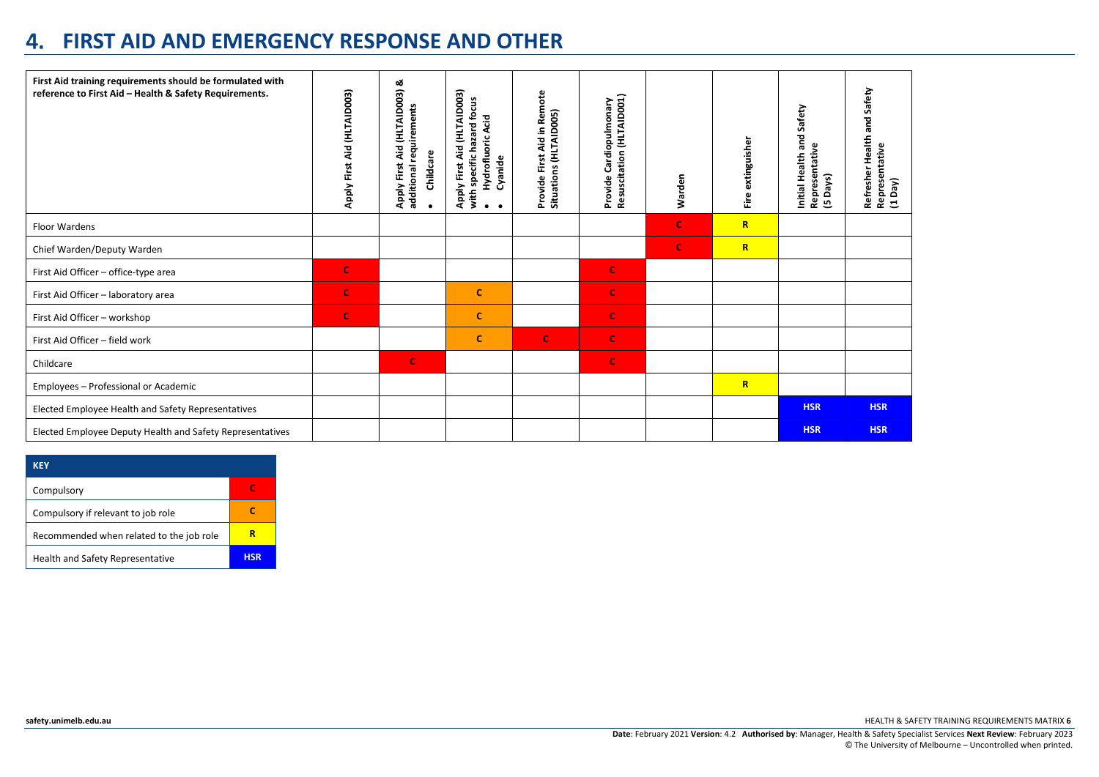#### **FIRST AID AND EMERGENCY RESPONSE AND OTHER**

| First Aid training requirements should be formulated with<br>reference to First Aid - Health & Safety Requirements. | Apply First Aid (HLTAID003) | Apply First Aid (HLTAID003) &<br>additional requirements<br>Childcare | Apply First Aid (HLTAID003)<br>with specific hazard focus<br>Hydrofluoric Acid<br>Cyanide | Provide First Aid in Remote<br>Situations (HLTAID005) | scitation (HLTAID001)<br>Cardiopulmonary<br>Provide<br><b>Resus</b> | Warden      | extinguisher<br>Eire | Safety<br>Initial Health and<br>Representative<br>Days)<br>ம | Safety<br>ក្ត<br>Health<br>Representative<br>Refresher<br>$(1$ Day) |
|---------------------------------------------------------------------------------------------------------------------|-----------------------------|-----------------------------------------------------------------------|-------------------------------------------------------------------------------------------|-------------------------------------------------------|---------------------------------------------------------------------|-------------|----------------------|--------------------------------------------------------------|---------------------------------------------------------------------|
| Floor Wardens                                                                                                       |                             |                                                                       |                                                                                           |                                                       |                                                                     | $\mathbf C$ | $\mathbb{R}$         |                                                              |                                                                     |
| Chief Warden/Deputy Warden                                                                                          |                             |                                                                       |                                                                                           |                                                       |                                                                     | $\mathbf C$ | $\mathbb{R}$         |                                                              |                                                                     |
| First Aid Officer - office-type area                                                                                | C                           |                                                                       |                                                                                           |                                                       | $\mathbf C$                                                         |             |                      |                                                              |                                                                     |
| First Aid Officer - laboratory area                                                                                 | $\mathbf C$                 |                                                                       | $\mathbf c$                                                                               |                                                       | $\mathbf C$                                                         |             |                      |                                                              |                                                                     |
| First Aid Officer - workshop                                                                                        | $\mathbf C$                 |                                                                       | c                                                                                         |                                                       | $\mathbf C$                                                         |             |                      |                                                              |                                                                     |
| First Aid Officer - field work                                                                                      |                             |                                                                       | $\mathbf{C}$                                                                              | $\mathbf{C}$                                          | $\mathbf C$                                                         |             |                      |                                                              |                                                                     |
| Childcare                                                                                                           |                             | $\mathbf C$                                                           |                                                                                           |                                                       | $\mathbf C$                                                         |             |                      |                                                              |                                                                     |
| Employees - Professional or Academic                                                                                |                             |                                                                       |                                                                                           |                                                       |                                                                     |             | $\mathbb{R}$         |                                                              |                                                                     |
| Elected Employee Health and Safety Representatives                                                                  |                             |                                                                       |                                                                                           |                                                       |                                                                     |             |                      | <b>HSR</b>                                                   | <b>HSR</b>                                                          |
| Elected Employee Deputy Health and Safety Representatives                                                           |                             |                                                                       |                                                                                           |                                                       |                                                                     |             |                      | <b>HSR</b>                                                   | <b>HSR</b>                                                          |

| KFY                                      |            |
|------------------------------------------|------------|
| Compulsory                               |            |
| Compulsory if relevant to job role       |            |
| Recommended when related to the job role |            |
| Health and Safety Representative         | <b>HSR</b> |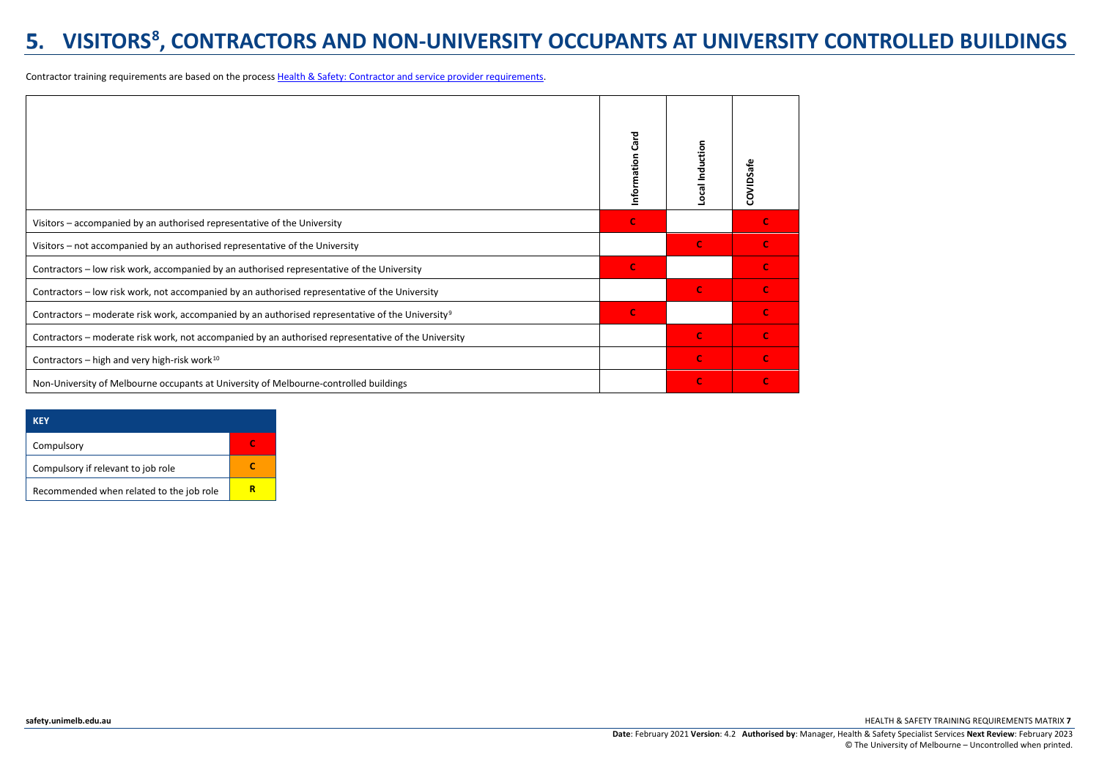# **VISITORS[8](#page-7-7) , CONTRACTORS AND NON-UNIVERSITY OCCUPANTS AT UNIVERSITY CONTROLLED BUILDINGS**

Contractor training requirements are based on the process [Health & Safety: Contractor and service provider requirements.](http://safety.unimelb.edu.au/__data/assets/word_doc/0009/1805994/Contractor-Service-Provider-Management-OHS-Requirements-Procedure.docx)

|                                                                                                              | Information Card | Local Induction | COVIDSafe |
|--------------------------------------------------------------------------------------------------------------|------------------|-----------------|-----------|
| Visitors - accompanied by an authorised representative of the University                                     | <b>C</b>         |                 |           |
| Visitors – not accompanied by an authorised representative of the University                                 |                  | $\mathbf C$     |           |
| Contractors - low risk work, accompanied by an authorised representative of the University                   | $\mathbf C$      |                 |           |
| Contractors - low risk work, not accompanied by an authorised representative of the University               |                  | $\mathbf C$     |           |
| Contractors – moderate risk work, accompanied by an authorised representative of the University <sup>9</sup> | $\mathbf C$      |                 |           |
| Contractors - moderate risk work, not accompanied by an authorised representative of the University          |                  | $\mathbf C$     |           |
| Contractors – high and very high-risk work $^{10}$                                                           |                  | $\mathbf C$     |           |
| Non-University of Melbourne occupants at University of Melbourne-controlled buildings                        |                  | $\mathbf c$     |           |

| KFY                                      |  |
|------------------------------------------|--|
| Compulsory                               |  |
| Compulsory if relevant to job role       |  |
| Recommended when related to the job role |  |